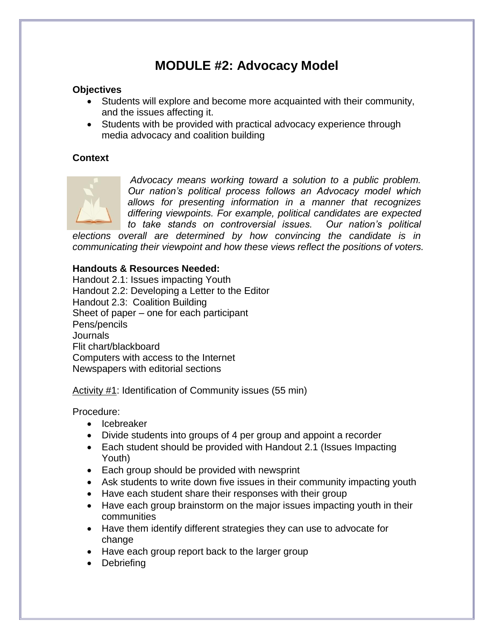# **MODULE #2: Advocacy Model**

#### **Objectives**

- Students will explore and become more acquainted with their community, and the issues affecting it.
- Students with be provided with practical advocacy experience through media advocacy and coalition building

#### **Context**



*Advocacy means working toward a solution to a public problem. Our nation's political process follows an Advocacy model which allows for presenting information in a manner that recognizes differing viewpoints. For example, political candidates are expected to take stands on controversial issues. Our nation's political* 

*elections overall are determined by how convincing the candidate is in communicating their viewpoint and how these views reflect the positions of voters.*

#### **Handouts & Resources Needed:**

Handout 2.1: Issues impacting Youth Handout 2.2: Developing a Letter to the Editor Handout 2.3: Coalition Building Sheet of paper – one for each participant Pens/pencils Journals Flit chart/blackboard Computers with access to the Internet Newspapers with editorial sections

Activity #1: Identification of Community issues (55 min)

- Icebreaker
- Divide students into groups of 4 per group and appoint a recorder
- Each student should be provided with Handout 2.1 (Issues Impacting Youth)
- Each group should be provided with newsprint
- Ask students to write down five issues in their community impacting youth
- Have each student share their responses with their group
- Have each group brainstorm on the major issues impacting youth in their communities
- Have them identify different strategies they can use to advocate for change
- Have each group report back to the larger group
- Debriefing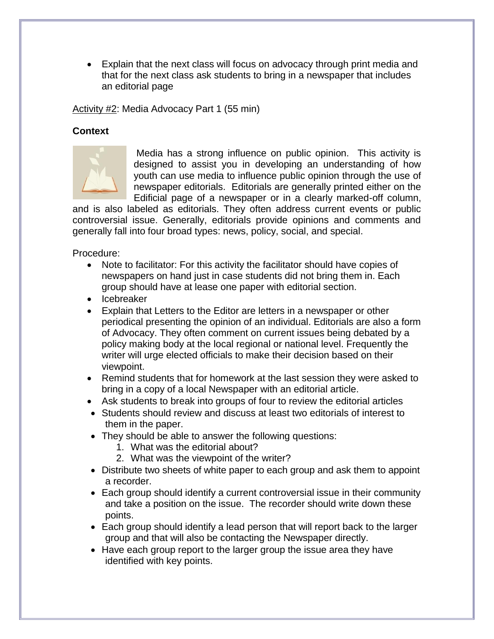Explain that the next class will focus on advocacy through print media and that for the next class ask students to bring in a newspaper that includes an editorial page

Activity #2: Media Advocacy Part 1 (55 min)

### **Context**



Media has a strong influence on public opinion. This activity is designed to assist you in developing an understanding of how youth can use media to influence public opinion through the use of newspaper editorials. Editorials are generally printed either on the Edificial page of a newspaper or in a clearly marked-off column,

and is also labeled as editorials. They often address current events or public controversial issue. Generally, editorials provide opinions and comments and generally fall into four broad types: news, policy, social, and special.

- Note to facilitator: For this activity the facilitator should have copies of newspapers on hand just in case students did not bring them in. Each group should have at lease one paper with editorial section.
- Icebreaker
- Explain that Letters to the Editor are letters in a newspaper or other periodical presenting the opinion of an individual. Editorials are also a form of Advocacy. They often comment on current issues being debated by a policy making body at the local regional or national level. Frequently the writer will urge elected officials to make their decision based on their viewpoint.
- Remind students that for homework at the last session they were asked to bring in a copy of a local Newspaper with an editorial article.
- Ask students to break into groups of four to review the editorial articles
- Students should review and discuss at least two editorials of interest to them in the paper.
- They should be able to answer the following questions:
	- 1. What was the editorial about?
	- 2. What was the viewpoint of the writer?
- Distribute two sheets of white paper to each group and ask them to appoint a recorder.
- Each group should identify a current controversial issue in their community and take a position on the issue. The recorder should write down these points.
- Each group should identify a lead person that will report back to the larger group and that will also be contacting the Newspaper directly.
- Have each group report to the larger group the issue area they have identified with key points.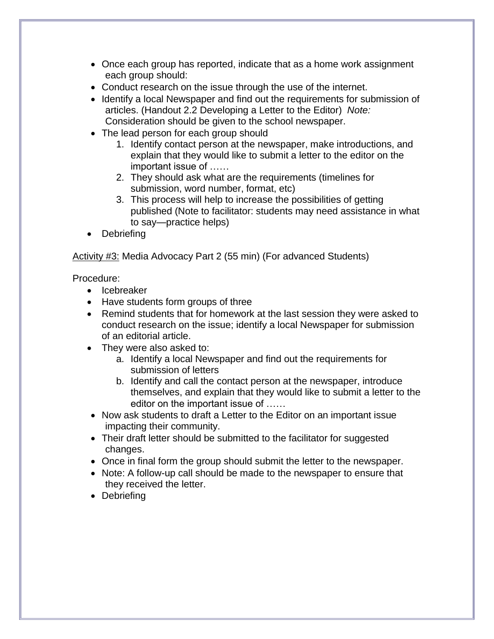- Once each group has reported, indicate that as a home work assignment each group should:
- Conduct research on the issue through the use of the internet.
- Identify a local Newspaper and find out the requirements for submission of articles. (Handout 2.2 Developing a Letter to the Editor) *Note:* Consideration should be given to the school newspaper.
- The lead person for each group should
	- 1. Identify contact person at the newspaper, make introductions, and explain that they would like to submit a letter to the editor on the important issue of ……
	- 2. They should ask what are the requirements (timelines for submission, word number, format, etc)
	- 3. This process will help to increase the possibilities of getting published (Note to facilitator: students may need assistance in what to say—practice helps)
- Debriefing

Activity #3: Media Advocacy Part 2 (55 min) (For advanced Students)

- Icebreaker
- Have students form groups of three
- Remind students that for homework at the last session they were asked to conduct research on the issue; identify a local Newspaper for submission of an editorial article.
- They were also asked to:
	- a. Identify a local Newspaper and find out the requirements for submission of letters
	- b. Identify and call the contact person at the newspaper, introduce themselves, and explain that they would like to submit a letter to the editor on the important issue of ……
- Now ask students to draft a Letter to the Editor on an important issue impacting their community.
- Their draft letter should be submitted to the facilitator for suggested changes.
- Once in final form the group should submit the letter to the newspaper.
- Note: A follow-up call should be made to the newspaper to ensure that they received the letter.
- Debriefing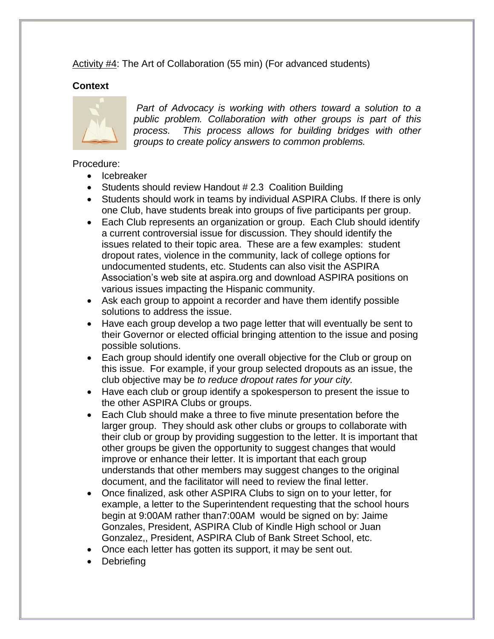Activity #4: The Art of Collaboration (55 min) (For advanced students)

### **Context**



*Part of Advocacy is working with others toward a solution to a public problem. Collaboration with other groups is part of this process. This process allows for building bridges with other groups to create policy answers to common problems.* 

- Icebreaker
- Students should review Handout # 2.3 Coalition Building
- Students should work in teams by individual ASPIRA Clubs. If there is only one Club, have students break into groups of five participants per group.
- Each Club represents an organization or group. Each Club should identify a current controversial issue for discussion. They should identify the issues related to their topic area. These are a few examples: student dropout rates, violence in the community, lack of college options for undocumented students, etc. Students can also visit the ASPIRA Association's web site at aspira.org and download ASPIRA positions on various issues impacting the Hispanic community.
- Ask each group to appoint a recorder and have them identify possible solutions to address the issue.
- Have each group develop a two page letter that will eventually be sent to their Governor or elected official bringing attention to the issue and posing possible solutions.
- Each group should identify one overall objective for the Club or group on this issue. For example, if your group selected dropouts as an issue, the club objective may be *to reduce dropout rates for your city.*
- Have each club or group identify a spokesperson to present the issue to the other ASPIRA Clubs or groups.
- Each Club should make a three to five minute presentation before the larger group. They should ask other clubs or groups to collaborate with their club or group by providing suggestion to the letter. It is important that other groups be given the opportunity to suggest changes that would improve or enhance their letter. It is important that each group understands that other members may suggest changes to the original document, and the facilitator will need to review the final letter.
- Once finalized, ask other ASPIRA Clubs to sign on to your letter, for example, a letter to the Superintendent requesting that the school hours begin at 9:00AM rather than7:00AM would be signed on by: Jaime Gonzales, President, ASPIRA Club of Kindle High school or Juan Gonzalez,, President, ASPIRA Club of Bank Street School, etc.
- Once each letter has gotten its support, it may be sent out.
- Debriefing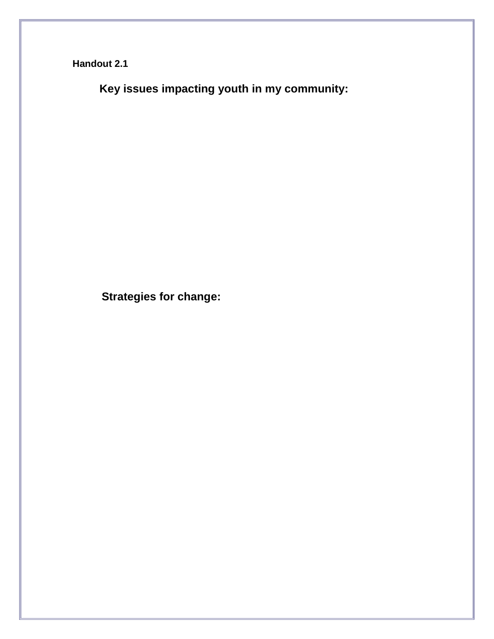**Handout 2.1**

 **Key issues impacting youth in my community:** 

**Strategies for change:**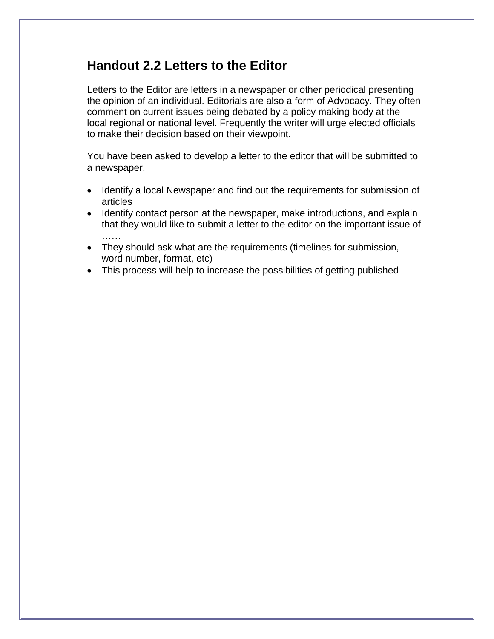## **Handout 2.2 Letters to the Editor**

Letters to the Editor are letters in a newspaper or other periodical presenting the opinion of an individual. Editorials are also a form of Advocacy. They often comment on current issues being debated by a policy making body at the local regional or national level. Frequently the writer will urge elected officials to make their decision based on their viewpoint.

You have been asked to develop a letter to the editor that will be submitted to a newspaper.

- Identify a local Newspaper and find out the requirements for submission of articles
- Identify contact person at the newspaper, make introductions, and explain that they would like to submit a letter to the editor on the important issue of ……
- They should ask what are the requirements (timelines for submission, word number, format, etc)
- This process will help to increase the possibilities of getting published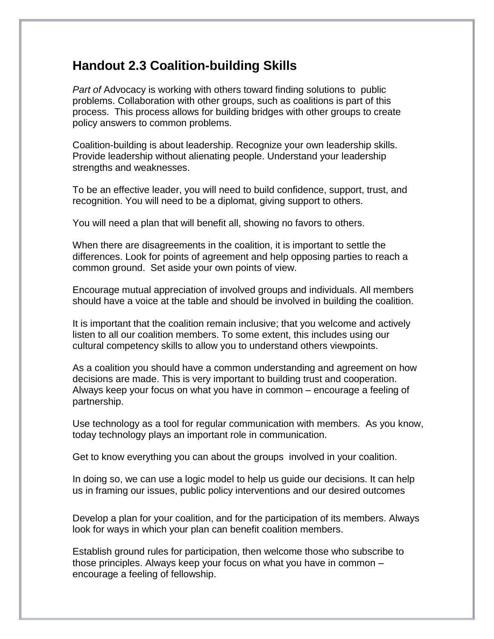### **Handout 2.3 Coalition-building Skills**

*Part of* Advocacy is working with others toward finding solutions to public problems. Collaboration with other groups, such as coalitions is part of this process. This process allows for building bridges with other groups to create policy answers to common problems.

Coalition-building is about leadership. Recognize your own leadership skills. Provide leadership without alienating people. Understand your leadership strengths and weaknesses.

To be an effective leader, you will need to build confidence, support, trust, and recognition. You will need to be a diplomat, giving support to others.

You will need a plan that will benefit all, showing no favors to others.

When there are disagreements in the coalition, it is important to settle the differences. Look for points of agreement and help opposing parties to reach a common ground. Set aside your own points of view.

Encourage mutual appreciation of involved groups and individuals. All members should have a voice at the table and should be involved in building the coalition.

It is important that the coalition remain inclusive; that you welcome and actively listen to all our coalition members. To some extent, this includes using our cultural competency skills to allow you to understand others viewpoints.

As a coalition you should have a common understanding and agreement on how decisions are made. This is very important to building trust and cooperation. Always keep your focus on what you have in common – encourage a feeling of partnership.

Use technology as a tool for regular communication with members. As you know, today technology plays an important role in communication.

Get to know everything you can about the groups involved in your coalition.

In doing so, we can use a logic model to help us guide our decisions. It can help us in framing our issues, public policy interventions and our desired outcomes

Develop a plan for your coalition, and for the participation of its members. Always look for ways in which your plan can benefit coalition members.

Establish ground rules for participation, then welcome those who subscribe to those principles. Always keep your focus on what you have in common – encourage a feeling of fellowship.